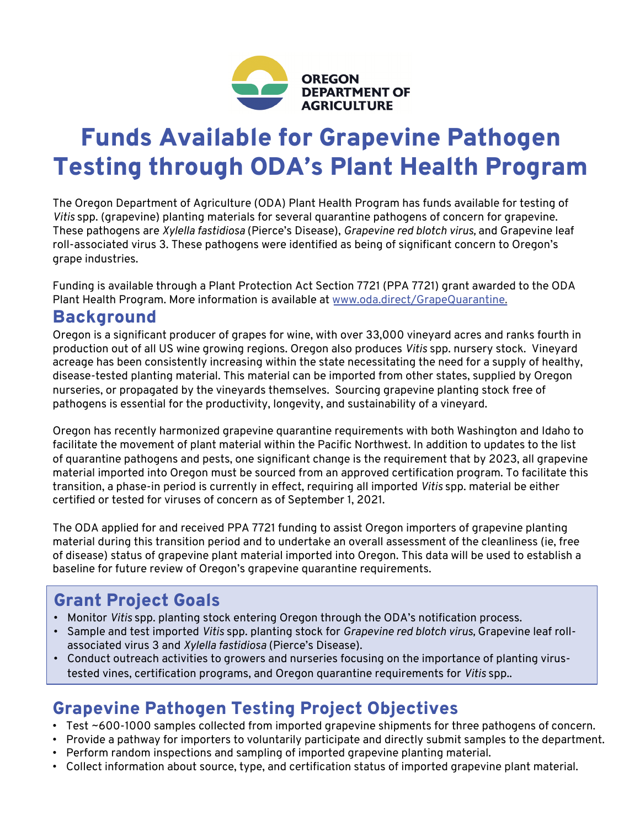

# Funds Available for Grapevine Pathogen Testing through ODA's Plant Health Program

The Oregon Department of Agriculture (ODA) Plant Health Program has funds available for testing of *Vitis* spp. (grapevine) planting materials for several quarantine pathogens of concern for grapevine. These pathogens are *Xylella fastidiosa* (Pierce's Disease), *Grapevine red blotch virus,* and Grapevine leaf roll-associated virus 3. These pathogens were identified as being of significant concern to Oregon's grape industries.

Funding is available through a Plant Protection Act Section 7721 (PPA 7721) grant awarded to the ODA Plant Health Program. More information is available [at www.oda.direct/GrapeQuarantin](http://www.oda.direct/GrapeQuarantine)e.

### **Background**

Oregon is a significant producer of grapes for wine, with over 33,000 vineyard acres and ranks fourth in production out of all US wine growing regions. Oregon also produces *Vitis* spp. nursery stock. Vineyard acreage has been consistently increasing within the state necessitating the need for a supply of healthy, disease-tested planting material. This material can be imported from other states, supplied by Oregon nurseries, or propagated by the vineyards themselves. Sourcing grapevine planting stock free of pathogens is essential for the productivity, longevity, and sustainability of a vineyard.

Oregon has recently harmonized grapevine quarantine requirements with both Washington and Idaho to facilitate the movement of plant material within the Pacific Northwest. In addition to updates to the list of quarantine pathogens and pests, one significant change is the requirement that by 2023, all grapevine material imported into Oregon must be sourced from an approved certification program. To facilitate this transition, a phase-in period is currently in effect, requiring all imported *Vitis* spp. material be either certified or tested for viruses of concern as of September 1, 2021.

The ODA applied for and received PPA 7721 funding to assist Oregon importers of grapevine planting material during this transition period and to undertake an overall assessment of the cleanliness (ie, free of disease) status of grapevine plant material imported into Oregon. This data will be used to establish a baseline for future review of Oregon's grapevine quarantine requirements.

## Grant Project Goals

- Monitor *Vitis* spp. planting stock entering Oregon through the ODA's notification process.
- Sample and test imported *Vitis* spp. planting stock for *Grapevine red blotch virus,* Grapevine leaf rollassociated virus 3 and *Xylella fastidiosa* (Pierce's Disease).
- Conduct outreach activities to growers and nurseries focusing on the importance of planting virustested vines, certification programs, and Oregon quarantine requirements for *Vitis* spp..

## Grapevine Pathogen Testing Project Objectives

- Test ~600-1000 samples collected from imported grapevine shipments for three pathogens of concern.
- Provide a pathway for importers to voluntarily participate and directly submit samples to the department. • Perform random inspections and sampling of imported grapevine planting material.
- 
- Collect information about source, type, and certification status of imported grapevine plant material.